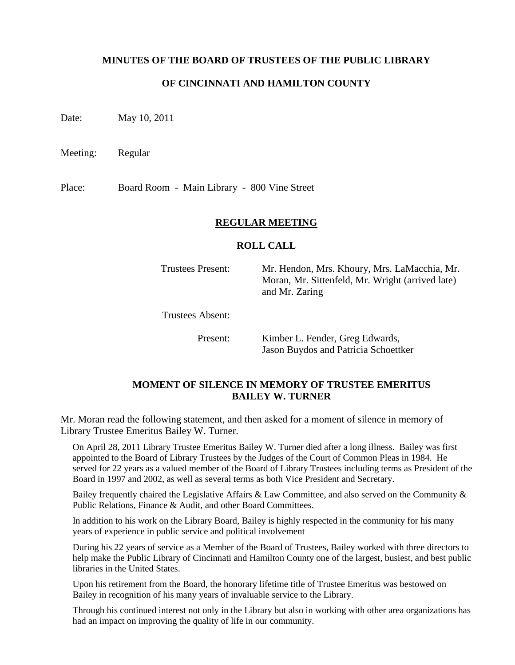### **MINUTES OF THE BOARD OF TRUSTEES OF THE PUBLIC LIBRARY**

#### **OF CINCINNATI AND HAMILTON COUNTY**

Date: May 10, 2011

Meeting: Regular

Place: Board Room - Main Library - 800 Vine Street

#### **REGULAR MEETING**

#### **ROLL CALL**

Trustees Present: Mr. Hendon, Mrs. Khoury, Mrs. LaMacchia, Mr. Moran, Mr. Sittenfeld, Mr. Wright (arrived late) and Mr. Zaring

Trustees Absent:

Present: Kimber L. Fender, Greg Edwards, Jason Buydos and Patricia Schoettker

### **MOMENT OF SILENCE IN MEMORY OF TRUSTEE EMERITUS BAILEY W. TURNER**

Mr. Moran read the following statement, and then asked for a moment of silence in memory of Library Trustee Emeritus Bailey W. Turner.

On April 28, 2011 Library Trustee Emeritus Bailey W. Turner died after a long illness. Bailey was first appointed to the Board of Library Trustees by the Judges of the Court of Common Pleas in 1984. He served for 22 years as a valued member of the Board of Library Trustees including terms as President of the Board in 1997 and 2002, as well as several terms as both Vice President and Secretary.

Bailey frequently chaired the Legislative Affairs & Law Committee, and also served on the Community & Public Relations, Finance & Audit, and other Board Committees.

In addition to his work on the Library Board, Bailey is highly respected in the community for his many years of experience in public service and political involvement

During his 22 years of service as a Member of the Board of Trustees, Bailey worked with three directors to help make the Public Library of Cincinnati and Hamilton County one of the largest, busiest, and best public libraries in the United States.

Upon his retirement from the Board, the honorary lifetime title of Trustee Emeritus was bestowed on Bailey in recognition of his many years of invaluable service to the Library.

Through his continued interest not only in the Library but also in working with other area organizations has had an impact on improving the quality of life in our community.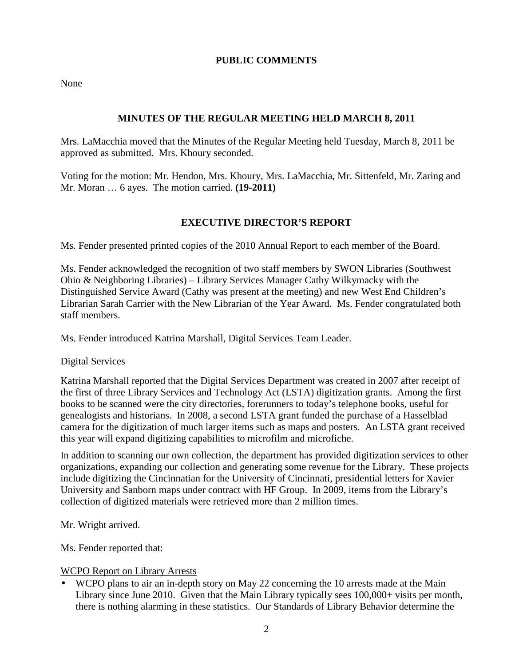# **PUBLIC COMMENTS**

None

# **MINUTES OF THE REGULAR MEETING HELD MARCH 8, 2011**

Mrs. LaMacchia moved that the Minutes of the Regular Meeting held Tuesday, March 8, 2011 be approved as submitted. Mrs. Khoury seconded.

Voting for the motion: Mr. Hendon, Mrs. Khoury, Mrs. LaMacchia, Mr. Sittenfeld, Mr. Zaring and Mr. Moran … 6 ayes. The motion carried. **(19-2011)**

# **EXECUTIVE DIRECTOR'S REPORT**

Ms. Fender presented printed copies of the 2010 Annual Report to each member of the Board.

Ms. Fender acknowledged the recognition of two staff members by SWON Libraries (Southwest Ohio & Neighboring Libraries) – Library Services Manager Cathy Wilkymacky with the Distinguished Service Award (Cathy was present at the meeting) and new West End Children's Librarian Sarah Carrier with the New Librarian of the Year Award. Ms. Fender congratulated both staff members.

Ms. Fender introduced Katrina Marshall, Digital Services Team Leader.

### Digital Services

Katrina Marshall reported that the Digital Services Department was created in 2007 after receipt of the first of three Library Services and Technology Act (LSTA) digitization grants. Among the first books to be scanned were the city directories, forerunners to today's telephone books, useful for genealogists and historians. In 2008, a second LSTA grant funded the purchase of a Hasselblad camera for the digitization of much larger items such as maps and posters. An LSTA grant received this year will expand digitizing capabilities to microfilm and microfiche.

In addition to scanning our own collection, the department has provided digitization services to other organizations, expanding our collection and generating some revenue for the Library. These projects include digitizing the Cincinnatian for the University of Cincinnati, presidential letters for Xavier University and Sanborn maps under contract with HF Group. In 2009, items from the Library's collection of digitized materials were retrieved more than 2 million times.

Mr. Wright arrived.

Ms. Fender reported that:

### WCPO Report on Library Arrests

• WCPO plans to air an in-depth story on May 22 concerning the 10 arrests made at the Main Library since June 2010. Given that the Main Library typically sees 100,000+ visits per month, there is nothing alarming in these statistics. Our Standards of Library Behavior determine the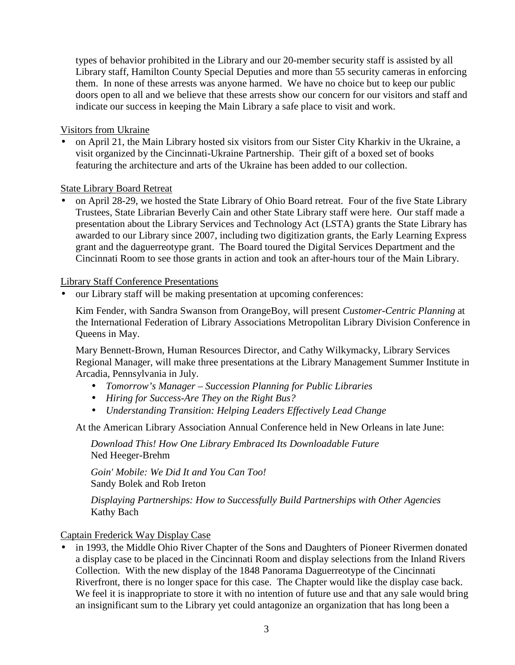types of behavior prohibited in the Library and our 20-member security staff is assisted by all Library staff, Hamilton County Special Deputies and more than 55 security cameras in enforcing them. In none of these arrests was anyone harmed. We have no choice but to keep our public doors open to all and we believe that these arrests show our concern for our visitors and staff and indicate our success in keeping the Main Library a safe place to visit and work.

Visitors from Ukraine

• on April 21, the Main Library hosted six visitors from our Sister City Kharkiv in the Ukraine, a visit organized by the Cincinnati-Ukraine Partnership. Their gift of a boxed set of books featuring the architecture and arts of the Ukraine has been added to our collection.

## State Library Board Retreat

• on April 28-29, we hosted the State Library of Ohio Board retreat. Four of the five State Library Trustees, State Librarian Beverly Cain and other State Library staff were here. Our staff made a presentation about the Library Services and Technology Act (LSTA) grants the State Library has awarded to our Library since 2007, including two digitization grants, the Early Learning Express grant and the daguerreotype grant. The Board toured the Digital Services Department and the Cincinnati Room to see those grants in action and took an after-hours tour of the Main Library.

## Library Staff Conference Presentations

• our Library staff will be making presentation at upcoming conferences:

Kim Fender, with Sandra Swanson from OrangeBoy, will present *Customer-Centric Planning* at the International Federation of Library Associations Metropolitan Library Division Conference in Queens in May.

Mary Bennett-Brown, Human Resources Director, and Cathy Wilkymacky, Library Services Regional Manager, will make three presentations at the Library Management Summer Institute in Arcadia, Pennsylvania in July.

- *Tomorrow's Manager Succession Planning for Public Libraries*
- *Hiring for Success-Are They on the Right Bus?*
- *Understanding Transition: Helping Leaders Effectively Lead Change*

At the American Library Association Annual Conference held in New Orleans in late June:

*Download This! How One Library Embraced Its Downloadable Future*  Ned Heeger-Brehm

*Goin' Mobile: We Did It and You Can Too!*  Sandy Bolek and Rob Ireton

*Displaying Partnerships: How to Successfully Build Partnerships with Other Agencies*  Kathy Bach

Captain Frederick Way Display Case

in 1993, the Middle Ohio River Chapter of the Sons and Daughters of Pioneer Rivermen donated a display case to be placed in the Cincinnati Room and display selections from the Inland Rivers Collection. With the new display of the 1848 Panorama Daguerreotype of the Cincinnati Riverfront, there is no longer space for this case. The Chapter would like the display case back. We feel it is inappropriate to store it with no intention of future use and that any sale would bring an insignificant sum to the Library yet could antagonize an organization that has long been a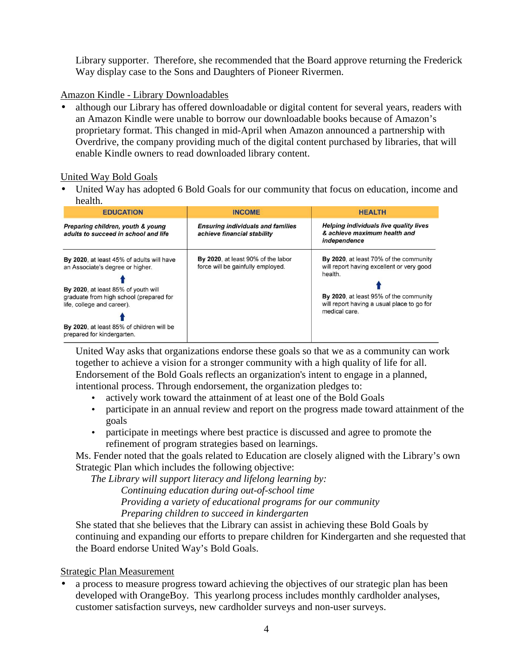Library supporter. Therefore, she recommended that the Board approve returning the Frederick Way display case to the Sons and Daughters of Pioneer Rivermen.

# Amazon Kindle - Library Downloadables

• although our Library has offered downloadable or digital content for several years, readers with an Amazon Kindle were unable to borrow our downloadable books because of Amazon's proprietary format. This changed in mid-April when Amazon announced a partnership with Overdrive, the company providing much of the digital content purchased by libraries, that will enable Kindle owners to read downloaded library content.

# United Way Bold Goals

• United Way has adopted 6 Bold Goals for our community that focus on education, income and health.

| .                                                                                                                                                                                                                                                                        |                                                                         |                                                                                                                                                                                                         |
|--------------------------------------------------------------------------------------------------------------------------------------------------------------------------------------------------------------------------------------------------------------------------|-------------------------------------------------------------------------|---------------------------------------------------------------------------------------------------------------------------------------------------------------------------------------------------------|
| <b>EDUCATION</b>                                                                                                                                                                                                                                                         | <b>INCOME</b>                                                           | <b>HEALTH</b>                                                                                                                                                                                           |
| Preparing children, youth & young<br>adults to succeed in school and life                                                                                                                                                                                                | <b>Ensuring individuals and families</b><br>achieve financial stability | <b>Helping individuals live quality lives</b><br>& achieve maximum health and<br>independence                                                                                                           |
| By 2020, at least 45% of adults will have<br>an Associate's degree or higher.<br>By 2020, at least 85% of youth will<br>graduate from high school (prepared for<br>life, college and career).<br>By 2020, at least 85% of children will be<br>prepared for kindergarten. | By 2020, at least 90% of the labor<br>force will be gainfully employed. | By 2020, at least 70% of the community<br>will report having excellent or very good<br>health.<br>By 2020, at least 95% of the community<br>will report having a usual place to go for<br>medical care. |

United Way asks that organizations endorse these goals so that we as a community can work together to achieve a vision for a stronger community with a high quality of life for all. Endorsement of the Bold Goals reflects an organization's intent to engage in a planned, intentional process. Through endorsement, the organization pledges to:

- actively work toward the attainment of at least one of the Bold Goals
- participate in an annual review and report on the progress made toward attainment of the goals
- participate in meetings where best practice is discussed and agree to promote the refinement of program strategies based on learnings.

Ms. Fender noted that the goals related to Education are closely aligned with the Library's own Strategic Plan which includes the following objective:

*The Library will support literacy and lifelong learning by:* 

 *Continuing education during out-of-school time Providing a variety of educational programs for our community Preparing children to succeed in kindergarten* 

She stated that she believes that the Library can assist in achieving these Bold Goals by continuing and expanding our efforts to prepare children for Kindergarten and she requested that the Board endorse United Way's Bold Goals.

# Strategic Plan Measurement

• a process to measure progress toward achieving the objectives of our strategic plan has been developed with OrangeBoy. This yearlong process includes monthly cardholder analyses, customer satisfaction surveys, new cardholder surveys and non-user surveys.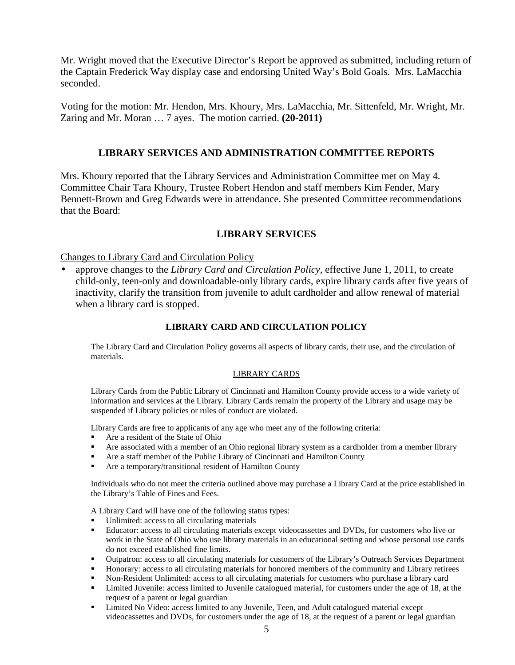Mr. Wright moved that the Executive Director's Report be approved as submitted, including return of the Captain Frederick Way display case and endorsing United Way's Bold Goals. Mrs. LaMacchia seconded.

Voting for the motion: Mr. Hendon, Mrs. Khoury, Mrs. LaMacchia, Mr. Sittenfeld, Mr. Wright, Mr. Zaring and Mr. Moran … 7 ayes. The motion carried. **(20-2011)** 

# **LIBRARY SERVICES AND ADMINISTRATION COMMITTEE REPORTS**

Mrs. Khoury reported that the Library Services and Administration Committee met on May 4. Committee Chair Tara Khoury, Trustee Robert Hendon and staff members Kim Fender, Mary Bennett-Brown and Greg Edwards were in attendance. She presented Committee recommendations that the Board:

### **LIBRARY SERVICES**

#### Changes to Library Card and Circulation Policy

• approve changes to the *Library Card and Circulation Policy,* effective June 1, 2011, to create child-only, teen-only and downloadable-only library cards, expire library cards after five years of inactivity, clarify the transition from juvenile to adult cardholder and allow renewal of material when a library card is stopped.

#### **LIBRARY CARD AND CIRCULATION POLICY**

The Library Card and Circulation Policy governs all aspects of library cards, their use, and the circulation of materials.

#### LIBRARY CARDS

Library Cards from the Public Library of Cincinnati and Hamilton County provide access to a wide variety of information and services at the Library. Library Cards remain the property of the Library and usage may be suspended if Library policies or rules of conduct are violated.

Library Cards are free to applicants of any age who meet any of the following criteria:

- Are a resident of the State of Ohio
- Are associated with a member of an Ohio regional library system as a cardholder from a member library
- Are a staff member of the Public Library of Cincinnati and Hamilton County
- Are a temporary/transitional resident of Hamilton County

Individuals who do not meet the criteria outlined above may purchase a Library Card at the price established in the Library's Table of Fines and Fees.

A Library Card will have one of the following status types:

- Unlimited: access to all circulating materials
- Educator: access to all circulating materials except videocassettes and DVDs, for customers who live or work in the State of Ohio who use library materials in an educational setting and whose personal use cards do not exceed established fine limits.
- Outpatron: access to all circulating materials for customers of the Library's Outreach Services Department
- Honorary: access to all circulating materials for honored members of the community and Library retirees
- Non-Resident Unlimited: access to all circulating materials for customers who purchase a library card
- Limited Juvenile: access limited to Juvenile catalogued material, for customers under the age of 18, at the request of a parent or legal guardian
- **EXECUTE:** Limited No Video: access limited to any Juvenile, Teen, and Adult catalogued material except videocassettes and DVDs, for customers under the age of 18, at the request of a parent or legal guardian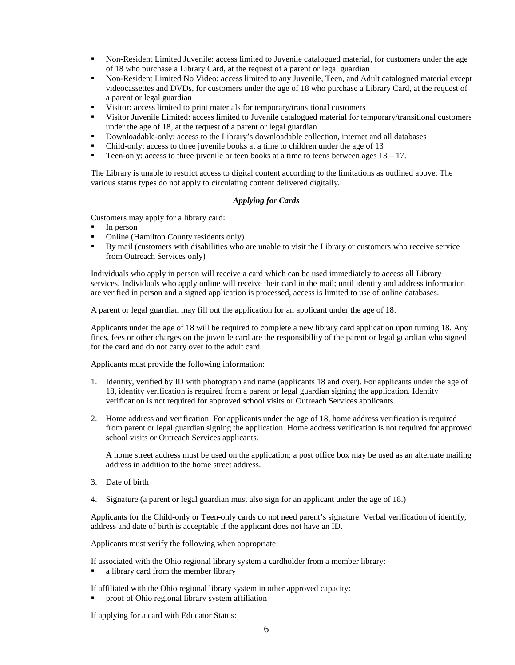- Non-Resident Limited Juvenile: access limited to Juvenile catalogued material, for customers under the age of 18 who purchase a Library Card, at the request of a parent or legal guardian
- Non-Resident Limited No Video: access limited to any Juvenile, Teen, and Adult catalogued material except videocassettes and DVDs, for customers under the age of 18 who purchase a Library Card, at the request of a parent or legal guardian
- Visitor: access limited to print materials for temporary/transitional customers
- Visitor Juvenile Limited: access limited to Juvenile catalogued material for temporary/transitional customers under the age of 18, at the request of a parent or legal guardian
- Downloadable-only: access to the Library's downloadable collection, internet and all databases
- Child-only: access to three juvenile books at a time to children under the age of 13
- Teen-only: access to three juvenile or teen books at a time to teens between ages  $13 17$ .

The Library is unable to restrict access to digital content according to the limitations as outlined above. The various status types do not apply to circulating content delivered digitally.

#### *Applying for Cards*

Customers may apply for a library card:

- $\blacksquare$  In person
- Online (Hamilton County residents only)
- By mail (customers with disabilities who are unable to visit the Library or customers who receive service from Outreach Services only)

Individuals who apply in person will receive a card which can be used immediately to access all Library services. Individuals who apply online will receive their card in the mail; until identity and address information are verified in person and a signed application is processed, access is limited to use of online databases.

A parent or legal guardian may fill out the application for an applicant under the age of 18.

Applicants under the age of 18 will be required to complete a new library card application upon turning 18. Any fines, fees or other charges on the juvenile card are the responsibility of the parent or legal guardian who signed for the card and do not carry over to the adult card.

Applicants must provide the following information:

- 1. Identity, verified by ID with photograph and name (applicants 18 and over). For applicants under the age of 18, identity verification is required from a parent or legal guardian signing the application. Identity verification is not required for approved school visits or Outreach Services applicants.
- 2. Home address and verification. For applicants under the age of 18, home address verification is required from parent or legal guardian signing the application. Home address verification is not required for approved school visits or Outreach Services applicants.

A home street address must be used on the application; a post office box may be used as an alternate mailing address in addition to the home street address.

- 3. Date of birth
- 4. Signature (a parent or legal guardian must also sign for an applicant under the age of 18.)

Applicants for the Child-only or Teen-only cards do not need parent's signature. Verbal verification of identify, address and date of birth is acceptable if the applicant does not have an ID.

Applicants must verify the following when appropriate:

If associated with the Ohio regional library system a cardholder from a member library:

• a library card from the member library

If affiliated with the Ohio regional library system in other approved capacity:

proof of Ohio regional library system affiliation

If applying for a card with Educator Status: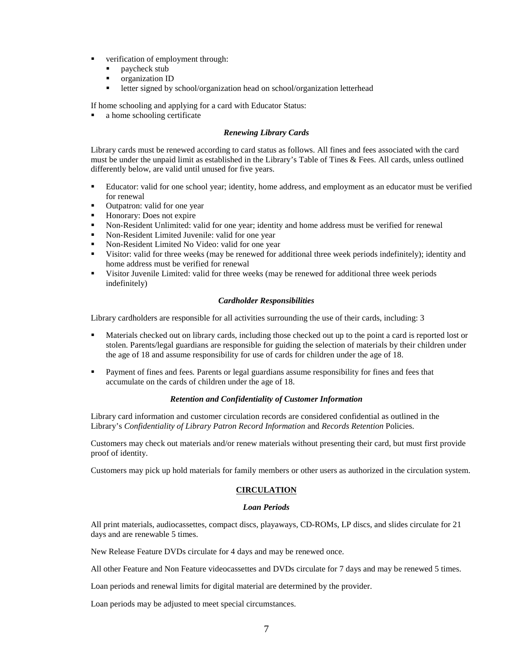- verification of employment through:
	- **paycheck stub**
	- organization ID
	- letter signed by school/organization head on school/organization letterhead

If home schooling and applying for a card with Educator Status:

• a home schooling certificate

#### *Renewing Library Cards*

Library cards must be renewed according to card status as follows. All fines and fees associated with the card must be under the unpaid limit as established in the Library's Table of Tines & Fees. All cards, unless outlined differently below, are valid until unused for five years.

- Educator: valid for one school year; identity, home address, and employment as an educator must be verified for renewal
- Outpatron: valid for one year
- Honorary: Does not expire
- Non-Resident Unlimited: valid for one year; identity and home address must be verified for renewal<br>• Non-Resident Limited Invenile: valid for one year
- Non-Resident Limited Juvenile: valid for one year
- Non-Resident Limited No Video: valid for one year
- Visitor: valid for three weeks (may be renewed for additional three week periods indefinitely); identity and home address must be verified for renewal
- Visitor Juvenile Limited: valid for three weeks (may be renewed for additional three week periods indefinitely)

#### *Cardholder Responsibilities*

Library cardholders are responsible for all activities surrounding the use of their cards, including: 3

- Materials checked out on library cards, including those checked out up to the point a card is reported lost or stolen. Parents/legal guardians are responsible for guiding the selection of materials by their children under the age of 18 and assume responsibility for use of cards for children under the age of 18.
- Payment of fines and fees*.* Parents or legal guardians assume responsibility for fines and fees that accumulate on the cards of children under the age of 18.

#### *Retention and Confidentiality of Customer Information*

Library card information and customer circulation records are considered confidential as outlined in the Library's *Confidentiality of Library Patron Record Information* and *Records Retention* Policies.

Customers may check out materials and/or renew materials without presenting their card, but must first provide proof of identity.

Customers may pick up hold materials for family members or other users as authorized in the circulation system.

#### **CIRCULATION**

#### *Loan Periods*

All print materials, audiocassettes, compact discs, playaways, CD-ROMs, LP discs, and slides circulate for 21 days and are renewable 5 times.

New Release Feature DVDs circulate for 4 days and may be renewed once.

All other Feature and Non Feature videocassettes and DVDs circulate for 7 days and may be renewed 5 times.

Loan periods and renewal limits for digital material are determined by the provider.

Loan periods may be adjusted to meet special circumstances.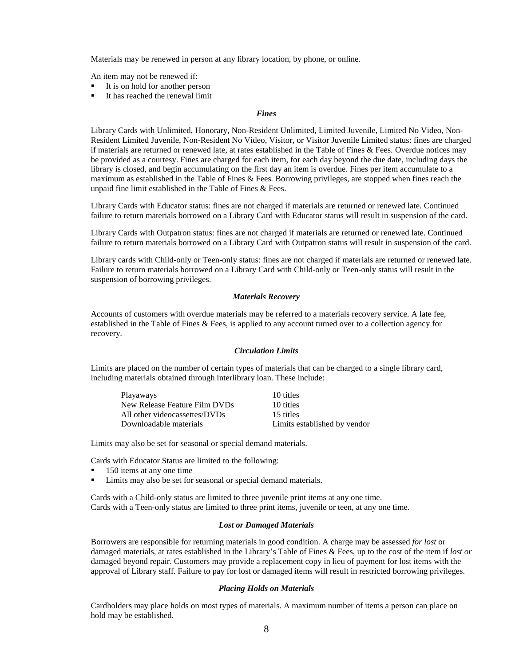Materials may be renewed in person at any library location, by phone, or online.

An item may not be renewed if:

- It is on hold for another person
- It has reached the renewal limit

#### *Fines*

Library Cards with Unlimited, Honorary, Non-Resident Unlimited, Limited Juvenile, Limited No Video, Non-Resident Limited Juvenile, Non-Resident No Video, Visitor, or Visitor Juvenile Limited status: fines are charged if materials are returned or renewed late, at rates established in the Table of Fines & Fees. Overdue notices may be provided as a courtesy. Fines are charged for each item, for each day beyond the due date, including days the library is closed, and begin accumulating on the first day an item is overdue. Fines per item accumulate to a maximum as established in the Table of Fines & Fees*.* Borrowing privileges, are stopped when fines reach the unpaid fine limit established in the Table of Fines & Fees.

Library Cards with Educator status: fines are not charged if materials are returned or renewed late. Continued failure to return materials borrowed on a Library Card with Educator status will result in suspension of the card.

Library Cards with Outpatron status: fines are not charged if materials are returned or renewed late. Continued failure to return materials borrowed on a Library Card with Outpatron status will result in suspension of the card.

Library cards with Child-only or Teen-only status: fines are not charged if materials are returned or renewed late. Failure to return materials borrowed on a Library Card with Child-only or Teen-only status will result in the suspension of borrowing privileges.

#### *Materials Recovery*

Accounts of customers with overdue materials may be referred to a materials recovery service. A late fee, established in the Table of Fines & Fees, is applied to any account turned over to a collection agency for recovery.

#### *Circulation Limits*

Limits are placed on the number of certain types of materials that can be charged to a single library card, including materials obtained through interlibrary loan. These include:

| Playaways                     | 10 titles                    |
|-------------------------------|------------------------------|
| New Release Feature Film DVDs | 10 titles                    |
| All other videocassettes/DVDs | 15 titles                    |
| Downloadable materials        | Limits established by vendor |

Limits may also be set for seasonal or special demand materials.

Cards with Educator Status are limited to the following:

- 150 items at any one time
- Limits may also be set for seasonal or special demand materials.

Cards with a Child-only status are limited to three juvenile print items at any one time. Cards with a Teen-only status are limited to three print items, juvenile or teen, at any one time.

#### *Lost or Damaged Materials*

Borrowers are responsible for returning materials in good condition. A charge may be assessed *for lost* or damaged materials, at rates established in the Library's Table of Fines & Fees, up to the cost of the item if *lost or*  damaged beyond repair. Customers may provide a replacement copy in lieu of payment for lost items with the approval of Library staff. Failure to pay for lost or damaged items will result in restricted borrowing privileges.

#### *Placing Holds on Materials*

Cardholders may place holds on most types of materials. A maximum number of items a person can place on hold may be established.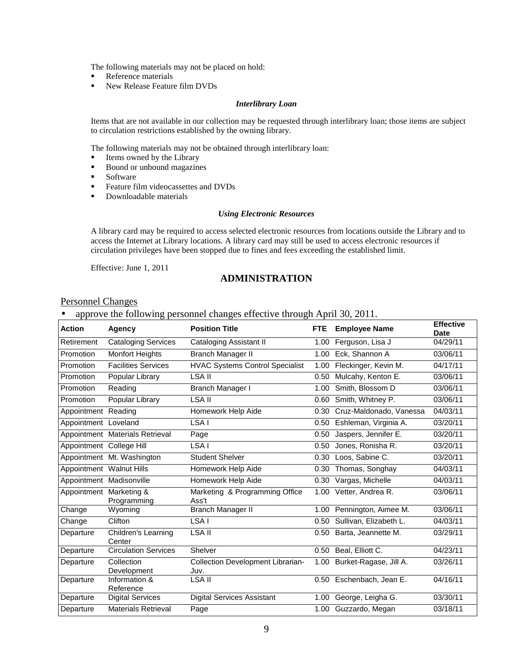The following materials may not be placed on hold:

- **Reference materials**
- New Release Feature film DVDs

#### *Interlibrary Loan*

Items that are not available in our collection may be requested through interlibrary loan; those items are subject to circulation restrictions established by the owning library.

The following materials may not be obtained through interlibrary loan:

- Items owned by the Library
- Bound or unbound magazines
- **Software**
- Feature film videocassettes and DVDs
- Downloadable materials

#### *Using Electronic Resources*

A library card may be required to access selected electronic resources from locations outside the Library and to access the Internet at Library locations. A library card may still be used to access electronic resources if circulation privileges have been stopped due to fines and fees exceeding the established limit.

Effective: June 1, 2011

## **ADMINISTRATION**

#### Personnel Changes

#### • approve the following personnel changes effective through April 30, 2011.

| <b>Action</b>            | Agency                               | <b>Position Title</b>                     | <b>FTE</b>        | <b>Employee Name</b>     | <b>Effective</b><br><b>Date</b> |
|--------------------------|--------------------------------------|-------------------------------------------|-------------------|--------------------------|---------------------------------|
| Retirement               | <b>Cataloging Services</b>           | <b>Cataloging Assistant II</b>            | 1.00              | Ferguson, Lisa J         | 04/29/11                        |
| Promotion                | <b>Monfort Heights</b>               | <b>Branch Manager II</b>                  | 1.00              | Eck, Shannon A           | 03/06/11                        |
| Promotion                | <b>Facilities Services</b>           | <b>HVAC Systems Control Specialist</b>    | 1.00              | Fleckinger, Kevin M.     | 04/17/11                        |
| Promotion                | Popular Library                      | LSA II                                    | 0.50              | Mulcahy, Kenton E.       | 03/06/11                        |
| Promotion                | Reading                              | Branch Manager I                          | 1.00              | Smith, Blossom D         | 03/06/11                        |
| Promotion                | Popular Library                      | <b>LSA II</b>                             | 0.60              | Smith, Whitney P.        | 03/06/11                        |
| Appointment Reading      |                                      | Homework Help Aide                        | 0.30              | Cruz-Maldonado, Vanessa  | 04/03/11                        |
| Appointment Loveland     |                                      | LSA I                                     | 0.50              | Eshleman, Virginia A.    | 03/20/11                        |
|                          | Appointment Materials Retrieval      | Page                                      | 0.50              | Jaspers, Jennifer E.     | 03/20/11                        |
| Appointment College Hill |                                      | LSA I                                     | 0.50              | Jones, Ronisha R.        | 03/20/11                        |
|                          | Appointment Mt. Washington           | <b>Student Shelver</b>                    | 0.30              | Loos, Sabine C.          | 03/20/11                        |
| Appointment Walnut Hills |                                      | Homework Help Aide                        | 0.30              | Thomas, Songhay          | 04/03/11                        |
| Appointment Madisonville |                                      | Homework Help Aide                        | 0.30              | Vargas, Michelle         | 04/03/11                        |
| Appointment Marketing &  | Programming                          | Marketing & Programming Office<br>Ass't   |                   | 1.00 Vetter, Andrea R.   | 03/06/11                        |
| Change                   | Wyoming                              | <b>Branch Manager II</b>                  | 1.00              | Pennington, Aimee M.     | $\overline{03/06}/11$           |
| Change                   | Clifton                              | LSA I                                     | 0.50              | Sullivan, Elizabeth L.   | 04/03/11                        |
| Departure                | <b>Children's Learning</b><br>Center | <b>LSA II</b>                             | 0.50              | Barta, Jeannette M.      | 03/29/11                        |
| Departure                | <b>Circulation Services</b>          | Shelver                                   |                   | 0.50 Beal, Elliott C.    | 04/23/11                        |
| Departure                | Collection<br>Development            | Collection Development Librarian-<br>Juv. | 1.00 <sub>1</sub> | Burket-Ragase, Jill A.   | 03/26/11                        |
| Departure                | Information &<br>Reference           | <b>LSA II</b>                             |                   | 0.50 Eschenbach, Jean E. | 04/16/11                        |
| Departure                | <b>Digital Services</b>              | <b>Digital Services Assistant</b>         | 1.00 <sub>1</sub> | George, Leigha G.        | $\overline{03/3}0/11$           |
| Departure                | <b>Materials Retrieval</b>           | Page                                      | 1.00              | Guzzardo, Megan          | $\overline{03}/18/11$           |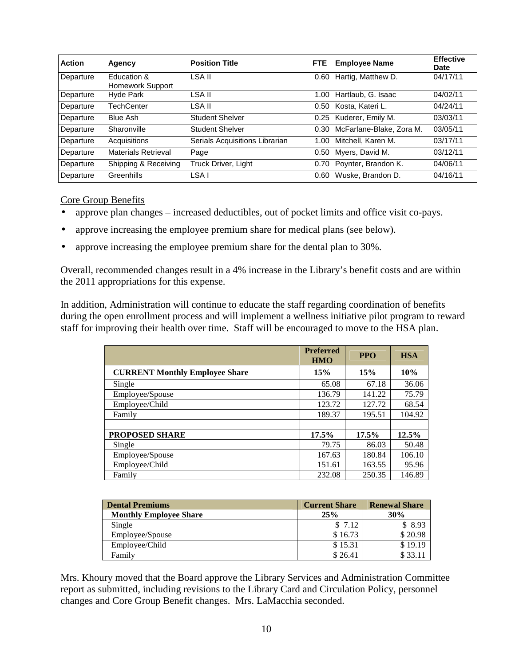| <b>Action</b> | Agency                          | <b>Position Title</b>          | <b>FTE</b> | <b>Employee Name</b>     | <b>Effective</b><br><b>Date</b> |
|---------------|---------------------------------|--------------------------------|------------|--------------------------|---------------------------------|
| Departure     | Education &<br>Homework Support | LSA II                         | 0.60       | Hartig, Matthew D.       | 04/17/11                        |
| Departure     | Hyde Park                       | LSA II                         | 1.00       | Hartlaub, G. Isaac       | 04/02/11                        |
| Departure     | <b>TechCenter</b>               | LSA II                         | 0.50       | Kosta, Kateri L.         | 04/24/11                        |
| Departure     | <b>Blue Ash</b>                 | <b>Student Shelver</b>         |            | 0.25 Kuderer, Emily M.   | 03/03/11                        |
| Departure     | Sharonville                     | <b>Student Shelver</b>         | 0.30       | McFarlane-Blake, Zora M. | 03/05/11                        |
| Departure     | Acquisitions                    | Serials Acquisitions Librarian | 1.00       | Mitchell, Karen M.       | 03/17/11                        |
| Departure     | <b>Materials Retrieval</b>      | Page                           | 0.50       | Myers, David M.          | 03/12/11                        |
| Departure     | Shipping & Receiving            | Truck Driver, Light            | 0.70       | Poynter, Brandon K.      | 04/06/11                        |
| Departure     | Greenhills                      | LSA I                          | 0.60       | Wuske, Brandon D.        | 04/16/11                        |

Core Group Benefits

- approve plan changes increased deductibles, out of pocket limits and office visit co-pays.
- approve increasing the employee premium share for medical plans (see below).
- approve increasing the employee premium share for the dental plan to 30%.

Overall, recommended changes result in a 4% increase in the Library's benefit costs and are within the 2011 appropriations for this expense.

In addition, Administration will continue to educate the staff regarding coordination of benefits during the open enrollment process and will implement a wellness initiative pilot program to reward staff for improving their health over time. Staff will be encouraged to move to the HSA plan.

|                                       | <b>Preferred</b><br><b>HMO</b> | <b>PPO</b> | <b>HSA</b> |
|---------------------------------------|--------------------------------|------------|------------|
| <b>CURRENT Monthly Employee Share</b> | 15%                            | 15%        | 10%        |
| Single                                | 65.08                          | 67.18      | 36.06      |
| Employee/Spouse                       | 136.79                         | 141.22     | 75.79      |
| Employee/Child                        | 123.72                         | 127.72     | 68.54      |
| Family                                | 189.37                         | 195.51     | 104.92     |
|                                       |                                |            |            |
| <b>PROPOSED SHARE</b>                 | 17.5%                          | 17.5%      | 12.5%      |
| Single                                | 79.75                          | 86.03      | 50.48      |
| Employee/Spouse                       | 167.63                         | 180.84     | 106.10     |
| Employee/Child                        | 151.61                         | 163.55     | 95.96      |
| Family                                | 232.08                         | 250.35     | 146.89     |

| <b>Dental Premiums</b>        | <b>Current Share</b> | <b>Renewal Share</b> |
|-------------------------------|----------------------|----------------------|
| <b>Monthly Employee Share</b> | 25%                  | 30%                  |
| Single                        | \$7.12               | \$8.93               |
| Employee/Spouse               | \$16.73              | \$20.98              |
| Employee/Child                | \$15.31              | \$19.19              |
| Family                        | \$26.41              | \$33.1               |

Mrs. Khoury moved that the Board approve the Library Services and Administration Committee report as submitted, including revisions to the Library Card and Circulation Policy, personnel changes and Core Group Benefit changes. Mrs. LaMacchia seconded.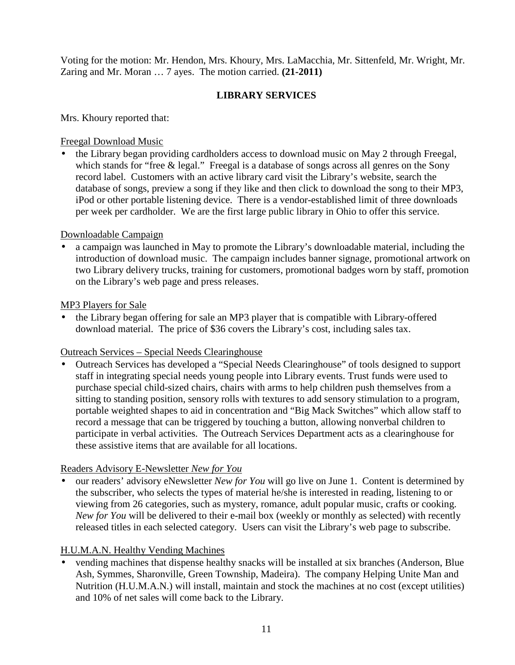Voting for the motion: Mr. Hendon, Mrs. Khoury, Mrs. LaMacchia, Mr. Sittenfeld, Mr. Wright, Mr. Zaring and Mr. Moran … 7 ayes. The motion carried. **(21-2011)**

# **LIBRARY SERVICES**

Mrs. Khoury reported that:

# Freegal Download Music

• the Library began providing cardholders access to download music on May 2 through Freegal, which stands for "free & legal." Freegal is a database of songs across all genres on the Sony record label. Customers with an active library card visit the Library's website, search the database of songs, preview a song if they like and then click to download the song to their MP3, iPod or other portable listening device. There is a vendor-established limit of three downloads per week per cardholder. We are the first large public library in Ohio to offer this service.

## Downloadable Campaign

• a campaign was launched in May to promote the Library's downloadable material, including the introduction of download music. The campaign includes banner signage, promotional artwork on two Library delivery trucks, training for customers, promotional badges worn by staff, promotion on the Library's web page and press releases.

## MP3 Players for Sale

• the Library began offering for sale an MP3 player that is compatible with Library-offered download material. The price of \$36 covers the Library's cost, including sales tax.

### Outreach Services – Special Needs Clearinghouse

• Outreach Services has developed a "Special Needs Clearinghouse" of tools designed to support staff in integrating special needs young people into Library events. Trust funds were used to purchase special child-sized chairs, chairs with arms to help children push themselves from a sitting to standing position, sensory rolls with textures to add sensory stimulation to a program, portable weighted shapes to aid in concentration and "Big Mack Switches" which allow staff to record a message that can be triggered by touching a button, allowing nonverbal children to participate in verbal activities. The Outreach Services Department acts as a clearinghouse for these assistive items that are available for all locations.

# Readers Advisory E-Newsletter *New for You*

• our readers' advisory eNewsletter *New for You* will go live on June 1. Content is determined by the subscriber, who selects the types of material he/she is interested in reading, listening to or viewing from 26 categories, such as mystery, romance, adult popular music, crafts or cooking. *New for You* will be delivered to their e-mail box (weekly or monthly as selected) with recently released titles in each selected category. Users can visit the Library's web page to subscribe.

# H.U.M.A.N. Healthy Vending Machines

• vending machines that dispense healthy snacks will be installed at six branches (Anderson, Blue Ash, Symmes, Sharonville, Green Township, Madeira). The company Helping Unite Man and Nutrition (H.U.M.A.N.) will install, maintain and stock the machines at no cost (except utilities) and 10% of net sales will come back to the Library.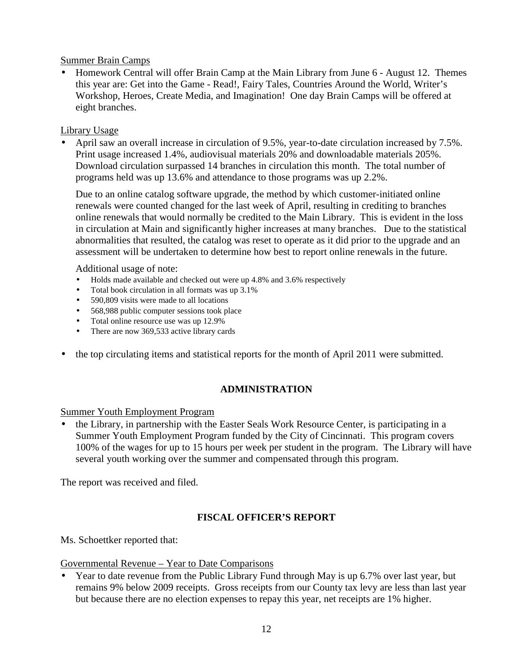## Summer Brain Camps

• Homework Central will offer Brain Camp at the Main Library from June 6 - August 12. Themes this year are: Get into the Game - Read!, Fairy Tales, Countries Around the World, Writer's Workshop, Heroes, Create Media, and Imagination! One day Brain Camps will be offered at eight branches.

## Library Usage

• April saw an overall increase in circulation of 9.5%, year-to-date circulation increased by 7.5%. Print usage increased 1.4%, audiovisual materials 20% and downloadable materials 205%. Download circulation surpassed 14 branches in circulation this month. The total number of programs held was up 13.6% and attendance to those programs was up 2.2%.

Due to an online catalog software upgrade, the method by which customer-initiated online renewals were counted changed for the last week of April, resulting in crediting to branches online renewals that would normally be credited to the Main Library. This is evident in the loss in circulation at Main and significantly higher increases at many branches. Due to the statistical abnormalities that resulted, the catalog was reset to operate as it did prior to the upgrade and an assessment will be undertaken to determine how best to report online renewals in the future.

Additional usage of note:

- Holds made available and checked out were up 4.8% and 3.6% respectively
- Total book circulation in all formats was up 3.1%
- 590,809 visits were made to all locations
- 568,988 public computer sessions took place
- Total online resource use was up 12.9%
- There are now 369,533 active library cards
- the top circulating items and statistical reports for the month of April 2011 were submitted.

# **ADMINISTRATION**

# Summer Youth Employment Program

• the Library, in partnership with the Easter Seals Work Resource Center, is participating in a Summer Youth Employment Program funded by the City of Cincinnati. This program covers 100% of the wages for up to 15 hours per week per student in the program. The Library will have several youth working over the summer and compensated through this program.

The report was received and filed.

# **FISCAL OFFICER'S REPORT**

Ms. Schoettker reported that:

### Governmental Revenue – Year to Date Comparisons

• Year to date revenue from the Public Library Fund through May is up 6.7% over last year, but remains 9% below 2009 receipts. Gross receipts from our County tax levy are less than last year but because there are no election expenses to repay this year, net receipts are 1% higher.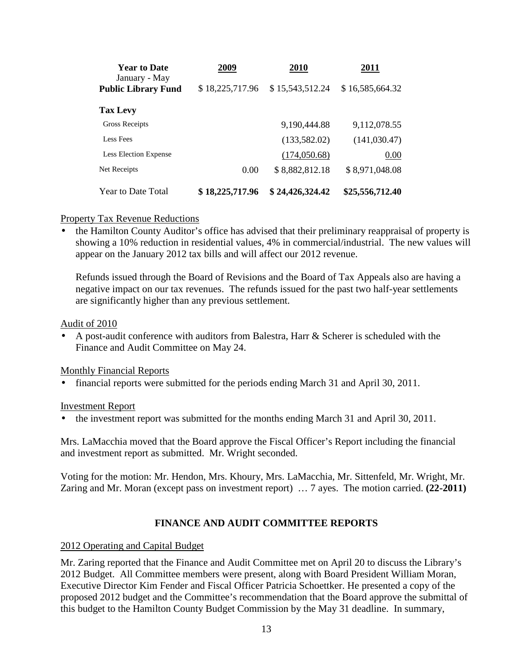| <b>Year to Date</b>                         | 2009            | 2010            | 2011            |
|---------------------------------------------|-----------------|-----------------|-----------------|
| January - May<br><b>Public Library Fund</b> | \$18,225,717.96 | \$15,543,512.24 | \$16,585,664.32 |
| <b>Tax Levy</b>                             |                 |                 |                 |
| Gross Receipts                              |                 | 9,190,444.88    | 9,112,078.55    |
| Less Fees                                   |                 | (133, 582.02)   | (141, 030.47)   |
| <b>Less Election Expense</b>                |                 | (174,050.68)    | 0.00            |
| Net Receipts                                | 0.00            | \$8,882,812.18  | \$8,971,048.08  |
| <b>Year to Date Total</b>                   | \$18,225,717.96 | \$24,426,324.42 | \$25,556,712.40 |

## Property Tax Revenue Reductions

• the Hamilton County Auditor's office has advised that their preliminary reappraisal of property is showing a 10% reduction in residential values, 4% in commercial/industrial. The new values will appear on the January 2012 tax bills and will affect our 2012 revenue.

Refunds issued through the Board of Revisions and the Board of Tax Appeals also are having a negative impact on our tax revenues. The refunds issued for the past two half-year settlements are significantly higher than any previous settlement.

### Audit of 2010

• A post-audit conference with auditors from Balestra, Harr & Scherer is scheduled with the Finance and Audit Committee on May 24.

# Monthly Financial Reports

• financial reports were submitted for the periods ending March 31 and April 30, 2011.

### Investment Report

• the investment report was submitted for the months ending March 31 and April 30, 2011.

Mrs. LaMacchia moved that the Board approve the Fiscal Officer's Report including the financial and investment report as submitted. Mr. Wright seconded.

Voting for the motion: Mr. Hendon, Mrs. Khoury, Mrs. LaMacchia, Mr. Sittenfeld, Mr. Wright, Mr. Zaring and Mr. Moran (except pass on investment report) … 7 ayes. The motion carried. **(22-2011)**

# **FINANCE AND AUDIT COMMITTEE REPORTS**

### 2012 Operating and Capital Budget

Mr. Zaring reported that the Finance and Audit Committee met on April 20 to discuss the Library's 2012 Budget. All Committee members were present, along with Board President William Moran, Executive Director Kim Fender and Fiscal Officer Patricia Schoettker. He presented a copy of the proposed 2012 budget and the Committee's recommendation that the Board approve the submittal of this budget to the Hamilton County Budget Commission by the May 31 deadline. In summary,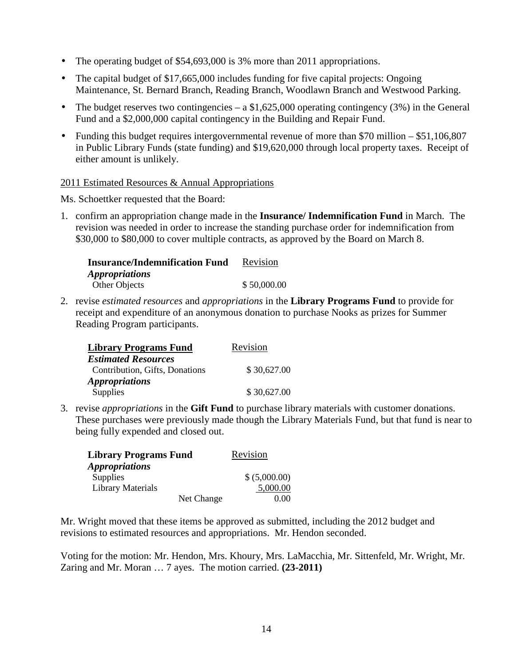- The operating budget of \$54,693,000 is 3% more than 2011 appropriations.
- The capital budget of \$17,665,000 includes funding for five capital projects: Ongoing Maintenance, St. Bernard Branch, Reading Branch, Woodlawn Branch and Westwood Parking.
- The budget reserves two contingencies a  $$1,625,000$  operating contingency (3%) in the General Fund and a \$2,000,000 capital contingency in the Building and Repair Fund.
- Funding this budget requires intergovernmental revenue of more than \$70 million  $-$  \$51,106,807 in Public Library Funds (state funding) and \$19,620,000 through local property taxes. Receipt of either amount is unlikely.

### 2011 Estimated Resources & Annual Appropriations

Ms. Schoettker requested that the Board:

1. confirm an appropriation change made in the **Insurance/ Indemnification Fund** in March. The revision was needed in order to increase the standing purchase order for indemnification from \$30,000 to \$80,000 to cover multiple contracts, as approved by the Board on March 8.

| <b>Insurance/Indemnification Fund</b> | Revision    |
|---------------------------------------|-------------|
| <i><b>Appropriations</b></i>          |             |
| Other Objects                         | \$50,000.00 |

2. revise *estimated resources* and *appropriations* in the **Library Programs Fund** to provide for receipt and expenditure of an anonymous donation to purchase Nooks as prizes for Summer Reading Program participants.

| <b>Library Programs Fund</b>   | Revision    |  |
|--------------------------------|-------------|--|
| <b>Estimated Resources</b>     |             |  |
| Contribution, Gifts, Donations | \$30,627.00 |  |
| <i><b>Appropriations</b></i>   |             |  |
| Supplies                       | \$30,627.00 |  |

3. revise *appropriations* in the **Gift Fund** to purchase library materials with customer donations. These purchases were previously made though the Library Materials Fund, but that fund is near to being fully expended and closed out.

| <b>Library Programs Fund</b> |            | Revision      |
|------------------------------|------------|---------------|
| <i><b>Appropriations</b></i> |            |               |
| <b>Supplies</b>              |            | \$ (5,000.00) |
| <b>Library Materials</b>     |            | 5,000.00      |
|                              | Net Change | 0.00          |

Mr. Wright moved that these items be approved as submitted, including the 2012 budget and revisions to estimated resources and appropriations. Mr. Hendon seconded.

Voting for the motion: Mr. Hendon, Mrs. Khoury, Mrs. LaMacchia, Mr. Sittenfeld, Mr. Wright, Mr. Zaring and Mr. Moran … 7 ayes. The motion carried. **(23-2011)**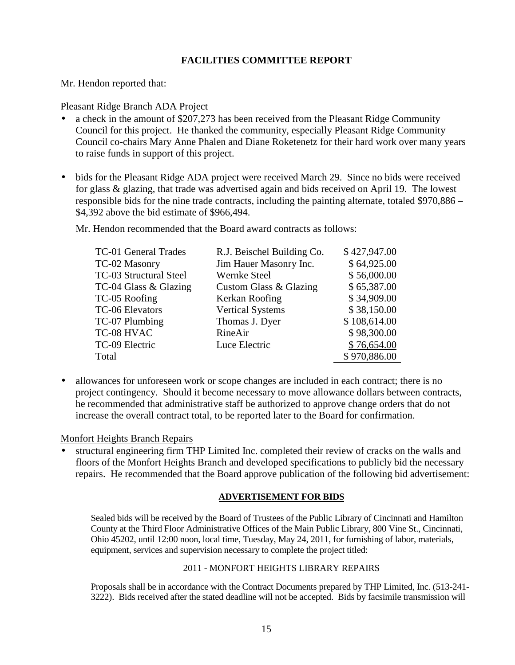# **FACILITIES COMMITTEE REPORT**

Mr. Hendon reported that:

#### Pleasant Ridge Branch ADA Project

- a check in the amount of \$207,273 has been received from the Pleasant Ridge Community Council for this project. He thanked the community, especially Pleasant Ridge Community Council co-chairs Mary Anne Phalen and Diane Roketenetz for their hard work over many years to raise funds in support of this project.
- bids for the Pleasant Ridge ADA project were received March 29. Since no bids were received for glass & glazing, that trade was advertised again and bids received on April 19. The lowest responsible bids for the nine trade contracts, including the painting alternate, totaled \$970,886 – \$4,392 above the bid estimate of \$966,494.

Mr. Hendon recommended that the Board award contracts as follows:

| TC-01 General Trades   | R.J. Beischel Building Co. | \$427,947.00 |
|------------------------|----------------------------|--------------|
| TC-02 Masonry          | Jim Hauer Masonry Inc.     | \$64,925.00  |
| TC-03 Structural Steel | Wernke Steel               | \$56,000.00  |
| TC-04 Glass & Glazing  | Custom Glass & Glazing     | \$65,387.00  |
| TC-05 Roofing          | Kerkan Roofing             | \$34,909.00  |
| TC-06 Elevators        | <b>Vertical Systems</b>    | \$38,150.00  |
| TC-07 Plumbing         | Thomas J. Dyer             | \$108,614.00 |
| TC-08 HVAC             | RineAir                    | \$98,300.00  |
| TC-09 Electric         | Luce Electric              | \$76,654.00  |
| Total                  |                            | \$970,886.00 |

• allowances for unforeseen work or scope changes are included in each contract; there is no project contingency. Should it become necessary to move allowance dollars between contracts, he recommended that administrative staff be authorized to approve change orders that do not increase the overall contract total, to be reported later to the Board for confirmation.

### Monfort Heights Branch Repairs

• structural engineering firm THP Limited Inc. completed their review of cracks on the walls and floors of the Monfort Heights Branch and developed specifications to publicly bid the necessary repairs. He recommended that the Board approve publication of the following bid advertisement:

#### **ADVERTISEMENT FOR BIDS**

Sealed bids will be received by the Board of Trustees of the Public Library of Cincinnati and Hamilton County at the Third Floor Administrative Offices of the Main Public Library, 800 Vine St., Cincinnati, Ohio 45202, until 12:00 noon, local time, Tuesday, May 24, 2011, for furnishing of labor, materials, equipment, services and supervision necessary to complete the project titled:

#### 2011 - MONFORT HEIGHTS LIBRARY REPAIRS

Proposals shall be in accordance with the Contract Documents prepared by THP Limited, Inc. (513-241- 3222). Bids received after the stated deadline will not be accepted. Bids by facsimile transmission will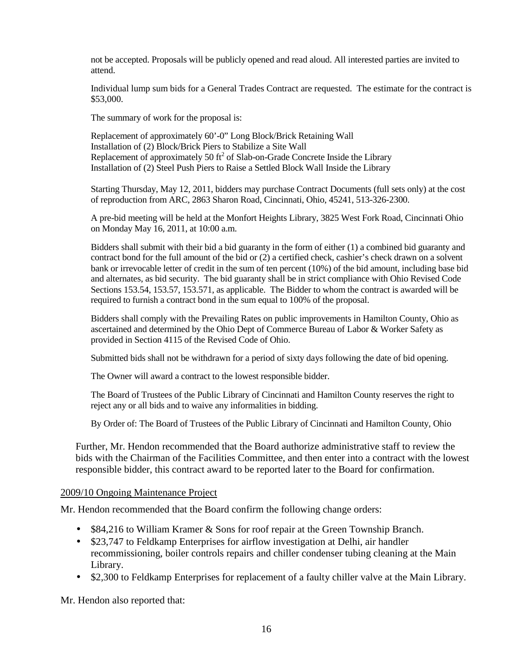not be accepted. Proposals will be publicly opened and read aloud. All interested parties are invited to attend.

Individual lump sum bids for a General Trades Contract are requested. The estimate for the contract is \$53,000.

The summary of work for the proposal is:

Replacement of approximately 60'-0" Long Block/Brick Retaining Wall Installation of (2) Block/Brick Piers to Stabilize a Site Wall Replacement of approximately 50  $\text{ft}^2$  of Slab-on-Grade Concrete Inside the Library Installation of (2) Steel Push Piers to Raise a Settled Block Wall Inside the Library

Starting Thursday, May 12, 2011, bidders may purchase Contract Documents (full sets only) at the cost of reproduction from ARC, 2863 Sharon Road, Cincinnati, Ohio, 45241, 513-326-2300.

A pre-bid meeting will be held at the Monfort Heights Library, 3825 West Fork Road, Cincinnati Ohio on Monday May 16, 2011, at 10:00 a.m.

Bidders shall submit with their bid a bid guaranty in the form of either (1) a combined bid guaranty and contract bond for the full amount of the bid or (2) a certified check, cashier's check drawn on a solvent bank or irrevocable letter of credit in the sum of ten percent (10%) of the bid amount, including base bid and alternates, as bid security. The bid guaranty shall be in strict compliance with Ohio Revised Code Sections 153.54, 153.57, 153.571, as applicable. The Bidder to whom the contract is awarded will be required to furnish a contract bond in the sum equal to 100% of the proposal.

Bidders shall comply with the Prevailing Rates on public improvements in Hamilton County, Ohio as ascertained and determined by the Ohio Dept of Commerce Bureau of Labor & Worker Safety as provided in Section 4115 of the Revised Code of Ohio.

Submitted bids shall not be withdrawn for a period of sixty days following the date of bid opening.

The Owner will award a contract to the lowest responsible bidder.

The Board of Trustees of the Public Library of Cincinnati and Hamilton County reserves the right to reject any or all bids and to waive any informalities in bidding.

By Order of: The Board of Trustees of the Public Library of Cincinnati and Hamilton County, Ohio

Further, Mr. Hendon recommended that the Board authorize administrative staff to review the bids with the Chairman of the Facilities Committee, and then enter into a contract with the lowest responsible bidder, this contract award to be reported later to the Board for confirmation.

### 2009/10 Ongoing Maintenance Project

Mr. Hendon recommended that the Board confirm the following change orders:

- \$84,216 to William Kramer & Sons for roof repair at the Green Township Branch.
- \$23,747 to Feldkamp Enterprises for airflow investigation at Delhi, air handler recommissioning, boiler controls repairs and chiller condenser tubing cleaning at the Main Library.
- \$2,300 to Feldkamp Enterprises for replacement of a faulty chiller valve at the Main Library.

Mr. Hendon also reported that: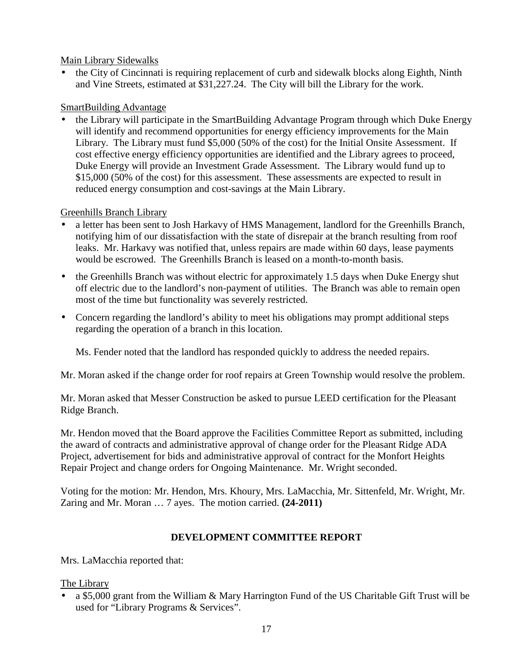## Main Library Sidewalks

• the City of Cincinnati is requiring replacement of curb and sidewalk blocks along Eighth, Ninth and Vine Streets, estimated at \$31,227.24. The City will bill the Library for the work.

# SmartBuilding Advantage

• the Library will participate in the SmartBuilding Advantage Program through which Duke Energy will identify and recommend opportunities for energy efficiency improvements for the Main Library. The Library must fund \$5,000 (50% of the cost) for the Initial Onsite Assessment. If cost effective energy efficiency opportunities are identified and the Library agrees to proceed, Duke Energy will provide an Investment Grade Assessment. The Library would fund up to \$15,000 (50% of the cost) for this assessment. These assessments are expected to result in reduced energy consumption and cost-savings at the Main Library.

# Greenhills Branch Library

- a letter has been sent to Josh Harkavy of HMS Management, landlord for the Greenhills Branch, notifying him of our dissatisfaction with the state of disrepair at the branch resulting from roof leaks. Mr. Harkavy was notified that, unless repairs are made within 60 days, lease payments would be escrowed. The Greenhills Branch is leased on a month-to-month basis.
- the Greenhills Branch was without electric for approximately 1.5 days when Duke Energy shut off electric due to the landlord's non-payment of utilities. The Branch was able to remain open most of the time but functionality was severely restricted.
- Concern regarding the landlord's ability to meet his obligations may prompt additional steps regarding the operation of a branch in this location.

Ms. Fender noted that the landlord has responded quickly to address the needed repairs.

Mr. Moran asked if the change order for roof repairs at Green Township would resolve the problem.

Mr. Moran asked that Messer Construction be asked to pursue LEED certification for the Pleasant Ridge Branch.

Mr. Hendon moved that the Board approve the Facilities Committee Report as submitted, including the award of contracts and administrative approval of change order for the Pleasant Ridge ADA Project, advertisement for bids and administrative approval of contract for the Monfort Heights Repair Project and change orders for Ongoing Maintenance. Mr. Wright seconded.

Voting for the motion: Mr. Hendon, Mrs. Khoury, Mrs. LaMacchia, Mr. Sittenfeld, Mr. Wright, Mr. Zaring and Mr. Moran … 7 ayes. The motion carried. **(24-2011)**

# **DEVELOPMENT COMMITTEE REPORT**

Mrs. LaMacchia reported that:

# The Library

• a \$5,000 grant from the William & Mary Harrington Fund of the US Charitable Gift Trust will be used for "Library Programs & Services".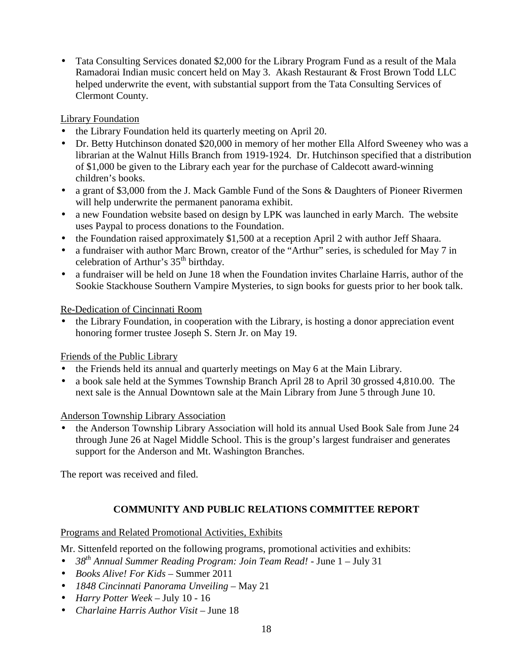• Tata Consulting Services donated \$2,000 for the Library Program Fund as a result of the Mala Ramadorai Indian music concert held on May 3. Akash Restaurant & Frost Brown Todd LLC helped underwrite the event, with substantial support from the Tata Consulting Services of Clermont County.

# Library Foundation

- the Library Foundation held its quarterly meeting on April 20.
- Dr. Betty Hutchinson donated \$20,000 in memory of her mother Ella Alford Sweeney who was a librarian at the Walnut Hills Branch from 1919-1924. Dr. Hutchinson specified that a distribution of \$1,000 be given to the Library each year for the purchase of Caldecott award-winning children's books.
- a grant of \$3,000 from the J. Mack Gamble Fund of the Sons & Daughters of Pioneer Rivermen will help underwrite the permanent panorama exhibit.
- a new Foundation website based on design by LPK was launched in early March. The website uses Paypal to process donations to the Foundation.
- the Foundation raised approximately \$1,500 at a reception April 2 with author Jeff Shaara.
- a fundraiser with author Marc Brown, creator of the "Arthur" series, is scheduled for May 7 in celebration of Arthur's 35<sup>th</sup> birthday.
- a fundraiser will be held on June 18 when the Foundation invites Charlaine Harris, author of the Sookie Stackhouse Southern Vampire Mysteries, to sign books for guests prior to her book talk.

# Re-Dedication of Cincinnati Room

• the Library Foundation, in cooperation with the Library, is hosting a donor appreciation event honoring former trustee Joseph S. Stern Jr. on May 19.

# Friends of the Public Library

- the Friends held its annual and quarterly meetings on May 6 at the Main Library.
- a book sale held at the Symmes Township Branch April 28 to April 30 grossed 4,810.00. The next sale is the Annual Downtown sale at the Main Library from June 5 through June 10.

# Anderson Township Library Association

• the Anderson Township Library Association will hold its annual Used Book Sale from June 24 through June 26 at Nagel Middle School. This is the group's largest fundraiser and generates support for the Anderson and Mt. Washington Branches.

The report was received and filed.

# **COMMUNITY AND PUBLIC RELATIONS COMMITTEE REPORT**

# Programs and Related Promotional Activities, Exhibits

Mr. Sittenfeld reported on the following programs, promotional activities and exhibits:

- *38th Annual Summer Reading Program: Join Team Read!* June 1 July 31
- *Books Alive! For Kids* Summer 2011
- *1848 Cincinnati Panorama Unveiling* May 21
- *Harry Potter Week* July 10 16
- *Charlaine Harris Author Visit* June 18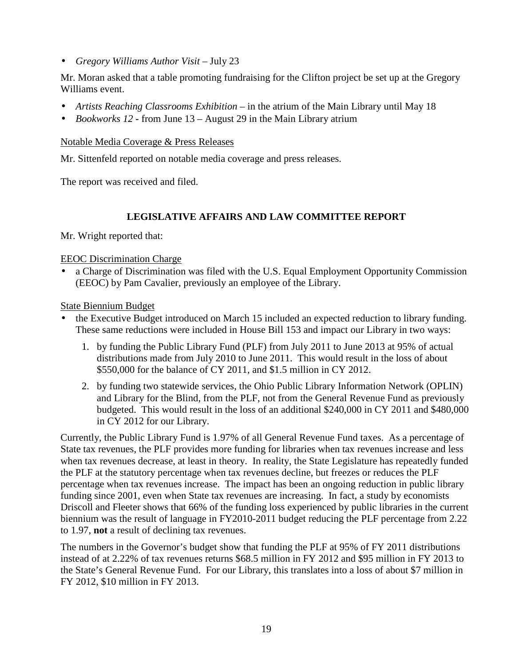• *Gregory Williams Author Visit –* July 23

Mr. Moran asked that a table promoting fundraising for the Clifton project be set up at the Gregory Williams event.

- *Artists Reaching Classrooms Exhibition* in the atrium of the Main Library until May 18
- *Bookworks 12* from June 13 August 29 in the Main Library atrium

#### Notable Media Coverage & Press Releases

Mr. Sittenfeld reported on notable media coverage and press releases.

The report was received and filed.

## **LEGISLATIVE AFFAIRS AND LAW COMMITTEE REPORT**

Mr. Wright reported that:

### EEOC Discrimination Charge

• a Charge of Discrimination was filed with the U.S. Equal Employment Opportunity Commission (EEOC) by Pam Cavalier, previously an employee of the Library.

### State Biennium Budget

- the Executive Budget introduced on March 15 included an expected reduction to library funding. These same reductions were included in House Bill 153 and impact our Library in two ways:
	- 1. by funding the Public Library Fund (PLF) from July 2011 to June 2013 at 95% of actual distributions made from July 2010 to June 2011. This would result in the loss of about \$550,000 for the balance of CY 2011, and \$1.5 million in CY 2012.
	- 2. by funding two statewide services, the Ohio Public Library Information Network (OPLIN) and Library for the Blind, from the PLF, not from the General Revenue Fund as previously budgeted. This would result in the loss of an additional \$240,000 in CY 2011 and \$480,000 in CY 2012 for our Library.

Currently, the Public Library Fund is 1.97% of all General Revenue Fund taxes. As a percentage of State tax revenues, the PLF provides more funding for libraries when tax revenues increase and less when tax revenues decrease, at least in theory. In reality, the State Legislature has repeatedly funded the PLF at the statutory percentage when tax revenues decline, but freezes or reduces the PLF percentage when tax revenues increase. The impact has been an ongoing reduction in public library funding since 2001, even when State tax revenues are increasing. In fact, a study by economists Driscoll and Fleeter shows that 66% of the funding loss experienced by public libraries in the current biennium was the result of language in FY2010-2011 budget reducing the PLF percentage from 2.22 to 1.97, **not** a result of declining tax revenues.

The numbers in the Governor's budget show that funding the PLF at 95% of FY 2011 distributions instead of at 2.22% of tax revenues returns \$68.5 million in FY 2012 and \$95 million in FY 2013 to the State's General Revenue Fund. For our Library, this translates into a loss of about \$7 million in FY 2012, \$10 million in FY 2013.